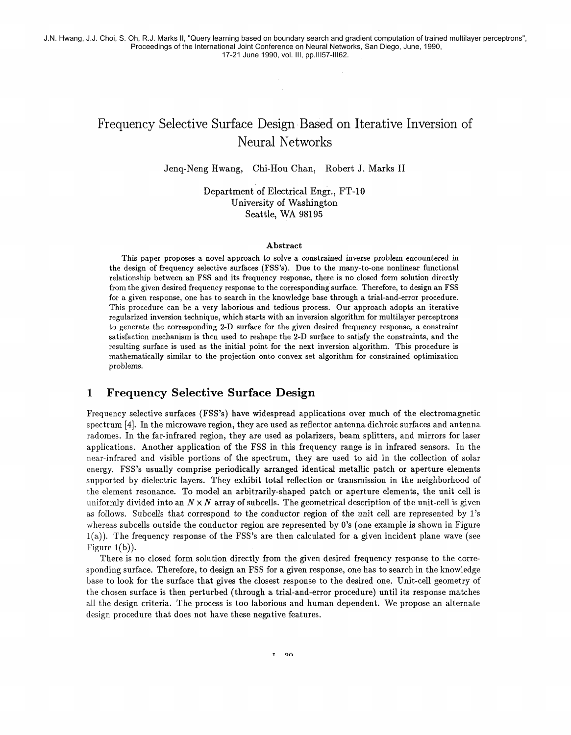# Frequency Selective Surface Design Based on Iterative Inversion of Neural Networks

Jenq-Neng Hwang, Chi-Hou Chan, Robert J. Marks I1

Department of Electrical Engr., FT-10 University of Washington Seattle, WA 98195

#### Abstract

This paper proposes a novel approach to solve a constrained inverse problem encountered in the design of frequency selective surfaces (FSS's). Due to the many-to-one nonlinear functional relationship between an FSS and its frequency response, there is no closed form solution directly from the given desired frequency response to the corresponding surface. Therefore, to design an FSS for a given response, one has to search in the knowledge base through a trial-and-error procedure. This procedure can be a very laborious and tedious process. Our approach adopts an iterative regularized inversion technique, which starts with an inversion algorithm for multilayer perceptrons to generate the corresponding **2-D** surface for the given desired frequency response, a constraint satisfaction mechanism is then used to reshape the 2-D surface to satisfy the constraints, and the resulting surface is used as the initial point for the next inversion algorithm. This procedure is mathematically similar to the projection onto convex set algorithm for constrained optimization problems.

# **1 Frequency Selective Surface Design**

Frequency selective surfaces (FSS's) have widespread applications over much of the electromagnetic spectrum **[4].** In the microwave region, they are used as reflector antenna dichroic surfaces and antenna radomes. In the far-infrared region, they are used **as** polarizers, beam splitters, and mirrors for laser applications. Another application of the FSS in this frequency range is in infrared sensors. In the near-infrared and visible portions of the spectrum, they are used to aid in the collection of solar energy. FSS's usually comprise periodically arranged identical metallic patch or aperture elements supported by dielectric layers. They exhibit total reflection or transmission in the neighborhood of the element resonance. To model an arbitrarily-shaped patch or aperture elements, the unit cell is uniformly divided into an  $N \times N$  array of subcells. The geometrical description of the unit-cell is given as follows. Subcells that correspond to the conductor region of the unit cell are represented by 1's whereas subcells outside the conductor region are represented by 0's (one example is shown in Figure  $l(a)$ ). The frequency response of the FSS's are then calculated for a given incident plane wave (see Figure  $1(b)$ ).

There is no closed form solution directly from the given desired frequency response to the corresponding surface. Therefore, to design an FSS for a given response, one has to search in the knowledge base to look for the surface that gives the closest response to the desired one. Unit-cell geometry of the chosen surface is then perturbed (through a trial-and-error procedure) until its response matches all the design criteria. The process is too laborious and human dependent. We propose an alternate design procedure that does not have these negative features.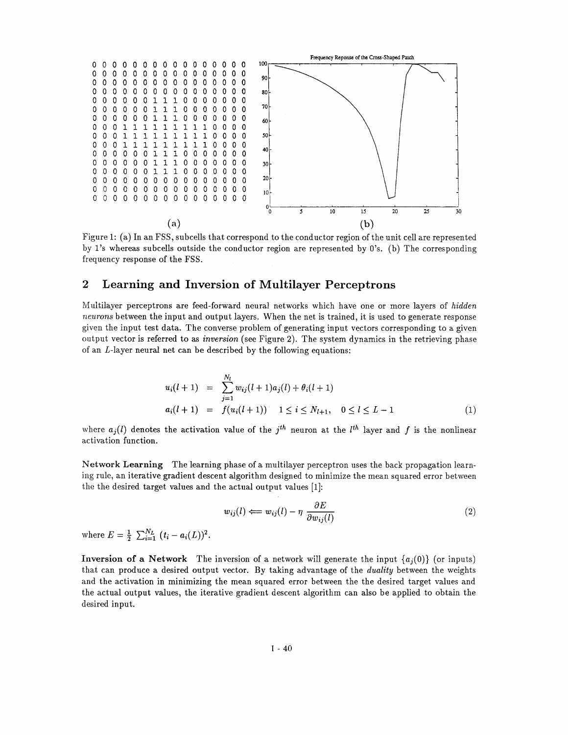

Figure 1: (a) In an FSS, subcells that correspond to the conductor region of the unit cell are represented by 1's whereas subcells outside the conductor region are represented by 0's. (b) The corresponding frequency response of the FSS.

# **2 Learning and Inversion of Multilayer Perceptrons**

Multilayer perceptrons are feed-forward neural networks which have one or more layers of hidden neurons between the input and output layers. When the net is trained, it is used to generate response given the input test data. The converse problem of generating input vectors corresponding to a given output vector is referred to as inversion (see Figure 2). The system dynamics in the retrieving phase of an L-layer neural net can be described by the following equations:

$$
u_i(l+1) = \sum_{j=1}^{N_l} w_{ij}(l+1)a_j(l) + \theta_i(l+1)
$$
  
\n
$$
a_i(l+1) = f(u_i(l+1)) \quad 1 \le i \le N_{l+1}, \quad 0 \le l \le L-1
$$
 (1)

where  $a_i(l)$  denotes the activation value of the j<sup>th</sup> neuron at the l<sup>th</sup> layer and f is the nonlinear activation function.

Network **Learning** The learning phase of a multilayer perceptron uses the back propagation learning rule, an iterative gradient descent algorithm designed to minimize the mean squared error between the the desired target values and the actual output values [I]:

$$
w_{ij}(l) \Longleftarrow w_{ij}(l) - \eta \frac{\partial E}{\partial w_{ij}(l)} \tag{2}
$$

where  $E = \frac{1}{2} \sum_{i=1}^{N_L} (t_i - a_i(L))^2$ .

**Inversion of a Network** The inversion of a network will generate the input  ${a_i(0)}$  (or inputs) that can produce a desired output vector. By taking advantage of the duality between the weights and the activation in minimizing the mean squared error between the the desired target values and the actual output values, the iterative gradient descent algorithm can also be applied to obtain the desired input.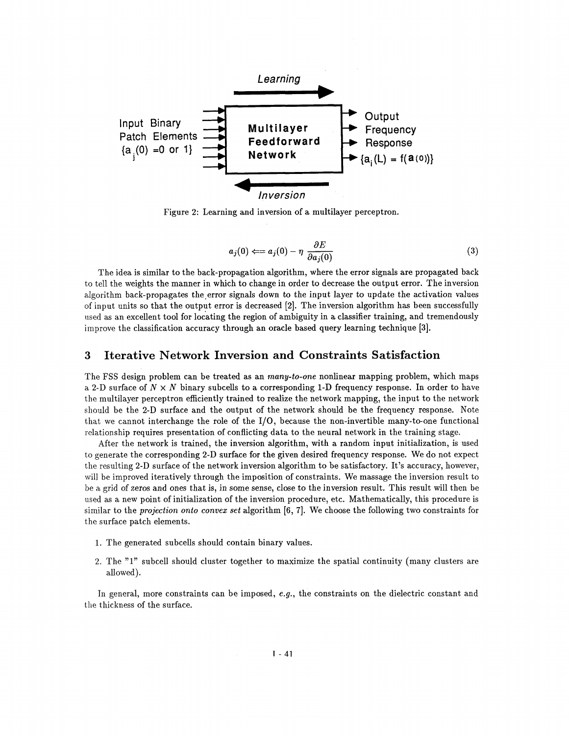

Figure **2:** Learning and inversion of a multilayer perceptron.

$$
a_j(0) \Longleftarrow a_j(0) - \eta \; \frac{\partial E}{\partial a_j(0)} \tag{3}
$$

The idea is similar to the back-propagation algorithm, where the error signals are propagated back to tell the weights the manner in which to change in order to decrease the output error. The inversion algorithm back-propagates the error signals down to the input layer to update the activation values of input units so that the output error is decreased [2]. The inversion algorithm has been successfully used as an excellent tool for locking the region of ambiguity in a classifier training, and tremendously improve the classification accuracy through an oracle based query learning technique **[3].** 

### **3 Iterative Network Inversion and Constraints Satisfaction**

The FSS design problem can be treated as an *many-to-one* nonlinear mapping problem, which maps a **2-D** surface of **N** x N binary subcells to a corresponding 1-D frequency response. In order to have the multilayer perceptron efficiently trained to realize the network mapping, the input to the network should be the **2-D** surface and the output of the network should be the frequency response. Note that we cannot interchange the role of the  $I/O$ , because the non-invertible many-to-one functional relationship requires presentation of conflicting data to the neural network in the training stage.

After the network is trained, the inversion algorithm, with a random input initialization, is used to generate the corresponding **2-D** surface for the given desired frequency response. We do not expect the resulting **2-D** surface of the network inversion algorithm to be satisfactory. It's accuracy, however, will be improved iteratively through the imposition of constraints. We massage the inversion result to be a grid of zeros and ones that is, in some sense, close to the inversion result. This result will then be used as a new point of initialization of the inversion procedure, etc. Mathematically, this procedure is similar to the projection onto convex set algorithm **[6, 71.** We choose the following two constraints for the surface patch elements.

- 1. The generated subcells should contain binary values.
- **2.** The **"1"** subcell should cluster together to maximize the spatial continuity (many clusters are allowed).

In general, more constraints can be imposed, e.g., the constraints on the dielectric constant and the thickness of the surface.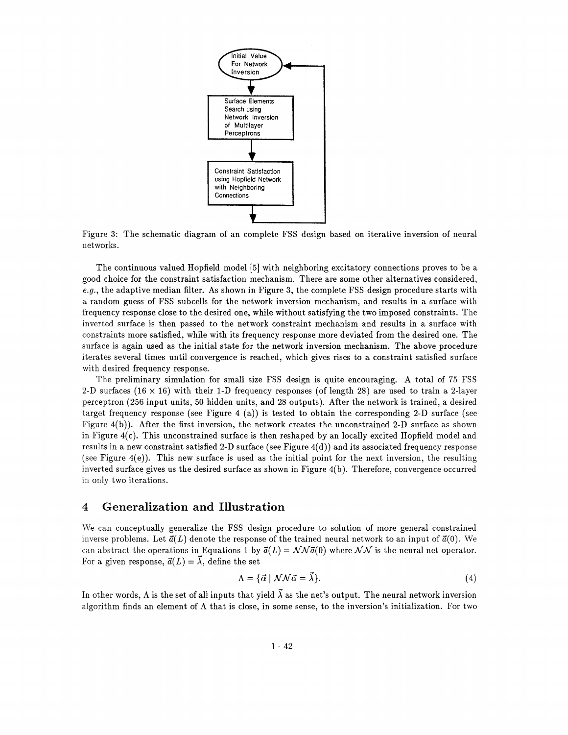

Figure **3:** The schematic diagram of an complete FSS design based on iterative inversion of neural networks.

The continuous valued Hopfield model [5] with neighboring excitatory connections proves to be a good choice for the constraint satisfaction mechanism. There are some other alternatives considered, *e.g.,* the adaptive median filter. As shown in Figure **3,** the complete FSS design procedure starts with a random guess of FSS subcells for the network inversion mechanism, and results in a surface with frequency response close to the desired one, while without satisfying the two imposed constraints. The inverted surface is then passed to the network constraint mechanism and results in a surface with constraints more satisfied, while with its frequency response more deviated from the desired one. The surface is again used as the initial state for the network inversion mechanism. The above procedure iterates several times until convergence is reached, which gives rises to a constraint satisfied surface with desired frequency response.

The preliminary simulation for small size FSS design is quite encouraging. A total of 75 FSS 2-D surfaces (16  $\times$  16) with their 1-D frequency responses (of length 28) are used to train a 2-layer perceptron (256 input units, 50 hidden units, and 28 outputs). After the network is trained, a desired target frequency response (see Figure 4 (a)) is tested to obtain the corresponding 2-D surface (see Figure 4(b)). After the first inversion, the network creates the unconstrained 2-D surface **as** shown in Figure 4(c). This unconstrained surface is then reshaped by an locally excited Hopfield model and results in a new constraint satisfied 2-D surface (see Figure  $4(d)$ ) and its associated frequency response (see Figure  $4(e)$ ). This new surface is used as the initial point for the next inversion, the resulting inverted surface gives us the desired surface as shown in Figure 4(b). Therefore, convergence occurred in only two iterations.

## **4 Generalization and Illustration**

We can conceptually generalize the FSS design procedure to solution of more general constrained inverse problems. Let  $\vec{a}(L)$  denote the response of the trained neural network to an input of  $\vec{a}(0)$ . We can abstract the operations in Equations 1 by  $\vec{a}(L) = \mathcal{NN}\vec{a}(0)$  where  $\mathcal{NN}$  is the neural net operator. For a given response,  $\vec{a}(L) = \vec{\lambda}$ , define the set

$$
\Lambda = \{ \vec{\alpha} \mid \mathcal{N}\mathcal{N}\vec{\alpha} = \vec{\lambda} \}. \tag{4}
$$

In other words,  $\Lambda$  is the set of all inputs that yield  $\vec{\lambda}$  as the net's output. The neural network inversion algorithm finds an element of  $\Lambda$  that is close, in some sense, to the inversion's initialization. For two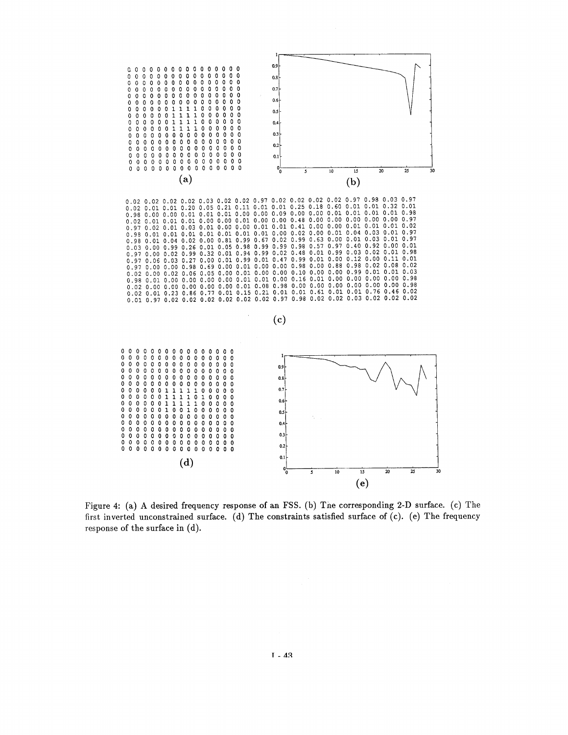

Figure 4: (a) **A** desired frequency response of an FSS. (b) Tne corresponding 2-D surface. (c) The first inverted unconstrained surface. (d) The constraints satisfied surface of (c). (e) The frequency response of the surface in (d).